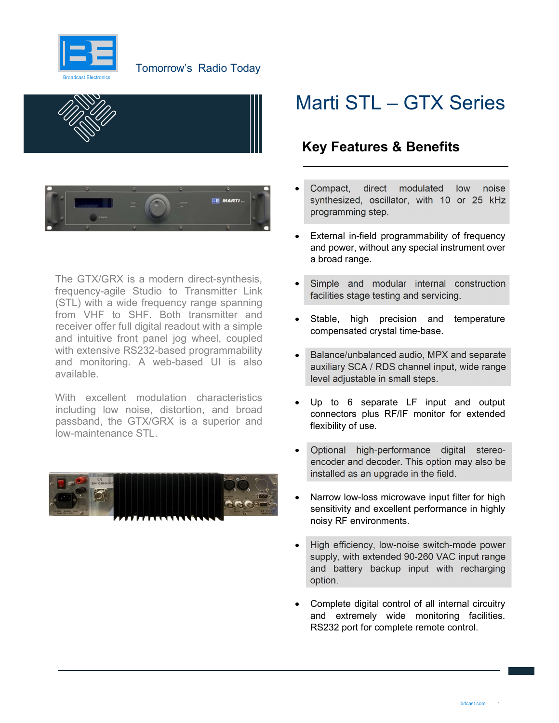





The GTX/GRX is a modern direct-synthesis, frequency-agile Studio to Transmitter Link (STL) with a wide frequency range spanning from VHF to SHF. Both transmitter and receiver offer full digital readout with a simple and intuitive front panel jog wheel, coupled with extensive RS232-based programmability and monitoring. A web-based UI is also available.

With excellent modulation characteristics including low noise, distortion, and broad passband, the GTX/GRX is a superior and low-maintenance STL.



## Marti STL – GTX Series

### Key Features & Benefits

- Compact, direct modulated low noise synthesized, oscillator, with 10 or 25 kHz programming step.
- External in-field programmability of frequency and power, without any special instrument over a broad range.
- Simple and modular internal construction facilities stage testing and servicing.
- Stable, high precision and temperature compensated crystal time-base.
- Balance/unbalanced audio, MPX and separate auxiliary SCA / RDS channel input, wide range level adjustable in small steps.
- Up to 6 separate LF input and output connectors plus RF/IF monitor for extended flexibility of use.
- Optional high-performance digital stereoencoder and decoder. This option may also be installed as an upgrade in the field.
- Narrow low-loss microwave input filter for high sensitivity and excellent performance in highly noisy RF environments.
- High efficiency, low-noise switch-mode power supply, with extended 90-260 VAC input range and battery backup input with recharging option.
- Complete digital control of all internal circuitry and extremely wide monitoring facilities. RS232 port for complete remote control.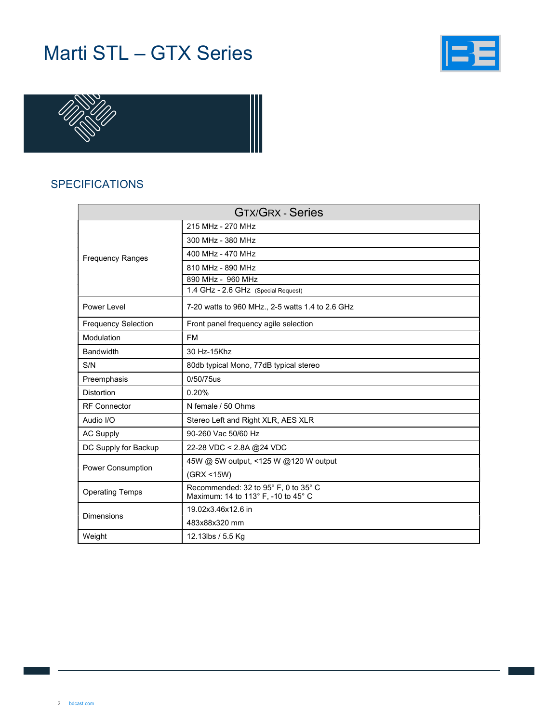# Marti STL – GTX Series





#### SPECIFICATIONS

| <b>GTX/GRX - Series</b>    |                                                                             |  |  |
|----------------------------|-----------------------------------------------------------------------------|--|--|
| <b>Frequency Ranges</b>    | 215 MHz - 270 MHz                                                           |  |  |
|                            | 300 MHz - 380 MHz                                                           |  |  |
|                            | 400 MHz - 470 MHz                                                           |  |  |
|                            | 810 MHz - 890 MHz                                                           |  |  |
|                            | 890 MHz - 960 MHz                                                           |  |  |
|                            | 1.4 GHz - 2.6 GHz (Special Request)                                         |  |  |
| Power Level                | 7-20 watts to 960 MHz., 2-5 watts 1.4 to 2.6 GHz                            |  |  |
| <b>Frequency Selection</b> | Front panel frequency agile selection                                       |  |  |
| Modulation                 | <b>FM</b>                                                                   |  |  |
| <b>Bandwidth</b>           | 30 Hz-15Khz                                                                 |  |  |
| S/N                        | 80db typical Mono, 77dB typical stereo                                      |  |  |
| Preemphasis                | 0/50/75us                                                                   |  |  |
| <b>Distortion</b>          | 0.20%                                                                       |  |  |
| <b>RF</b> Connector        | N female / 50 Ohms                                                          |  |  |
| Audio I/O                  | Stereo Left and Right XLR, AES XLR                                          |  |  |
| <b>AC Supply</b>           | 90-260 Vac 50/60 Hz                                                         |  |  |
| DC Supply for Backup       | 22-28 VDC < 2.8A @24 VDC                                                    |  |  |
| <b>Power Consumption</b>   | 45W @ 5W output, <125 W @120 W output                                       |  |  |
|                            | (GRX < 15W)                                                                 |  |  |
| <b>Operating Temps</b>     | Recommended: 32 to 95° F, 0 to 35° C<br>Maximum: 14 to 113° F, -10 to 45° C |  |  |
| <b>Dimensions</b>          | 19.02x3.46x12.6 in                                                          |  |  |
|                            | 483x88x320 mm                                                               |  |  |
| Weight                     | 12.13lbs / 5.5 Kg                                                           |  |  |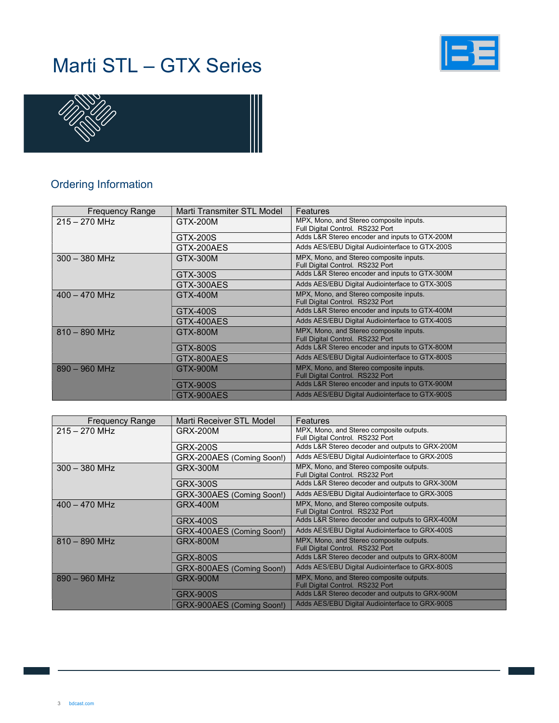# Marti STL – GTX Series





#### Ordering Information

| <b>Frequency Range</b> | Marti Transmiter STL Model | Features                                                                    |
|------------------------|----------------------------|-----------------------------------------------------------------------------|
| $215 - 270$ MHz        | GTX-200M                   | MPX, Mono, and Stereo composite inputs.<br>Full Digital Control. RS232 Port |
|                        | GTX-200S                   | Adds L&R Stereo encoder and inputs to GTX-200M                              |
|                        | GTX-200AES                 | Adds AES/EBU Digital Audiointerface to GTX-200S                             |
| $300 - 380$ MHz        | GTX-300M                   | MPX, Mono, and Stereo composite inputs.<br>Full Digital Control. RS232 Port |
|                        | GTX-300S                   | Adds L&R Stereo encoder and inputs to GTX-300M                              |
|                        | GTX-300AES                 | Adds AES/EBU Digital Audiointerface to GTX-300S                             |
| $400 - 470$ MHz        | GTX-400M                   | MPX, Mono, and Stereo composite inputs.<br>Full Digital Control. RS232 Port |
|                        | GTX-400S                   | Adds L&R Stereo encoder and inputs to GTX-400M                              |
|                        | GTX-400AES                 | Adds AES/EBU Digital Audiointerface to GTX-400S                             |
| $810 - 890$ MHz        | GTX-800M                   | MPX, Mono, and Stereo composite inputs.<br>Full Digital Control. RS232 Port |
|                        | GTX-800S                   | Adds L&R Stereo encoder and inputs to GTX-800M                              |
|                        | GTX-800AES                 | Adds AES/EBU Digital Audiointerface to GTX-800S                             |
| $890 - 960$ MHz        | GTX-900M                   | MPX, Mono, and Stereo composite inputs.<br>Full Digital Control. RS232 Port |
|                        | GTX-900S                   | Adds L&R Stereo encoder and inputs to GTX-900M                              |
|                        | GTX-900AES                 | Adds AES/EBU Digital Audiointerface to GTX-900S                             |

| <b>Frequency Range</b> | Marti Receiver STL Model  | Features                                                                     |
|------------------------|---------------------------|------------------------------------------------------------------------------|
| $215 - 270$ MHz        | <b>GRX-200M</b>           | MPX, Mono, and Stereo composite outputs.<br>Full Digital Control. RS232 Port |
|                        | <b>GRX-200S</b>           | Adds L&R Stereo decoder and outputs to GRX-200M                              |
|                        | GRX-200AES (Coming Soon!) | Adds AES/EBU Digital Audiointerface to GRX-200S                              |
| $300 - 380$ MHz        | <b>GRX-300M</b>           | MPX, Mono, and Stereo composite outputs.<br>Full Digital Control. RS232 Port |
|                        | <b>GRX-300S</b>           | Adds L&R Stereo decoder and outputs to GRX-300M                              |
|                        | GRX-300AES (Coming Soon!) | Adds AES/EBU Digital Audiointerface to GRX-300S                              |
| $400 - 470$ MHz        | <b>GRX-400M</b>           | MPX, Mono, and Stereo composite outputs.<br>Full Digital Control. RS232 Port |
|                        | GRX-400S                  | Adds L&R Stereo decoder and outputs to GRX-400M                              |
|                        | GRX-400AES (Coming Soon!) | Adds AES/EBU Digital Audiointerface to GRX-400S                              |
| $810 - 890$ MHz        | <b>GRX-800M</b>           | MPX, Mono, and Stereo composite outputs.<br>Full Digital Control. RS232 Port |
|                        | GRX-800S                  | Adds L&R Stereo decoder and outputs to GRX-800M                              |
|                        | GRX-800AES (Coming Soon!) | Adds AES/EBU Digital Audiointerface to GRX-800S                              |
| $890 - 960$ MHz        | <b>GRX-900M</b>           | MPX, Mono, and Stereo composite outputs.<br>Full Digital Control. RS232 Port |
|                        | <b>GRX-900S</b>           | Adds L&R Stereo decoder and outputs to GRX-900M                              |
|                        | GRX-900AES (Coming Soon!) | Adds AES/EBU Digital Audiointerface to GRX-900S                              |